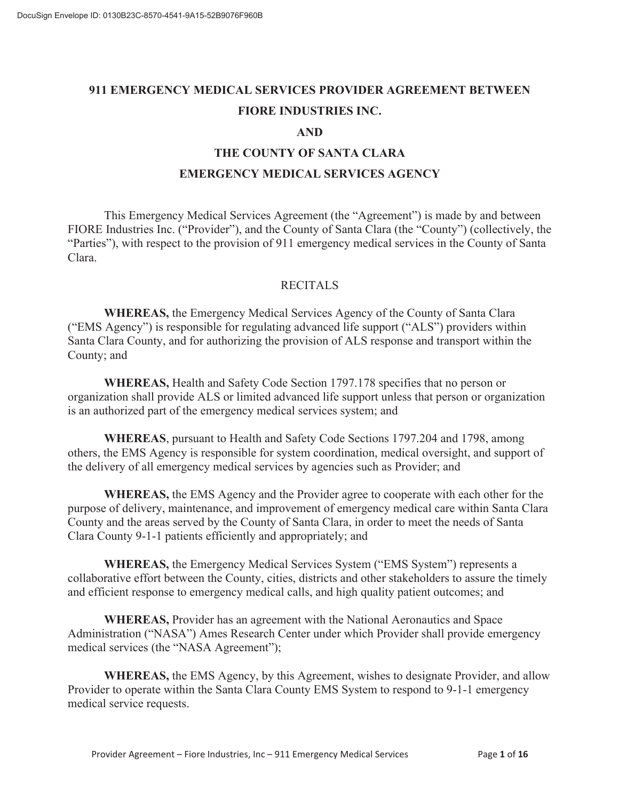# **911 EMERGENCY MEDICAL SERVICES PROVIDER AGREEMENT BETWEEN FIORE INDUSTRIES INC.**

### **AND**

## **THE COUNTY OF SANTA CLARA EMERGENCY MEDICAL SERVICES AGENCY**

This Emergency Medical Services Agreement (the "Agreement") is made by and between FIORE Industries Inc. ("Provider"), and the County of Santa Clara (the "County") (collectively, the "Parties"), with respect to the provision of 911 emergency medical services in the County of Santa Clara.

### RECITALS

 **WHEREAS,** the Emergency Medical Services Agency of the County of Santa Clara ("EMS Agency") is responsible for regulating advanced life support ("ALS") providers within Santa Clara County, and for authorizing the provision of ALS response and transport within the County; and

 **WHEREAS,** Health and Safety Code Section 1797.178 specifies that no person or organization shall provide ALS or limited advanced life support unless that person or organization is an authorized part of the emergency medical services system; and

 **WHEREAS**, pursuant to Health and Safety Code Sections 1797.204 and 1798, among others, the EMS Agency is responsible for system coordination, medical oversight, and support of the delivery of all emergency medical services by agencies such as Provider; and

 **WHEREAS,** the EMS Agency and the Provider agree to cooperate with each other for the purpose of delivery, maintenance, and improvement of emergency medical care within Santa Clara County and the areas served by the County of Santa Clara, in order to meet the needs of Santa Clara County 9-1-1 patients efficiently and appropriately; and

 **WHEREAS,** the Emergency Medical Services System ("EMS System") represents a collaborative effort between the County, cities, districts and other stakeholders to assure the timely and efficient response to emergency medical calls, and high quality patient outcomes; and

**WHEREAS,** Provider has an agreement with the National Aeronautics and Space Administration ("NASA") Ames Research Center under which Provider shall provide emergency medical services (the "NASA Agreement");

 **WHEREAS,** the EMS Agency, by this Agreement, wishes to designate Provider, and allow Provider to operate within the Santa Clara County EMS System to respond to 9-1-1 emergency medical service requests.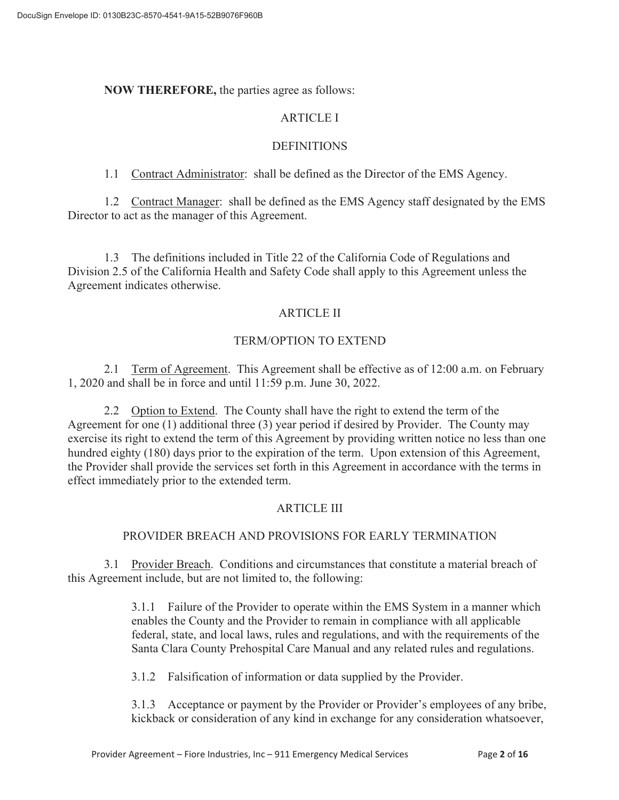### **NOW THEREFORE,** the parties agree as follows:

### ARTICLE I

### **DEFINITIONS**

1.1 Contract Administrator: shall be defined as the Director of the EMS Agency.

 1.2 Contract Manager: shall be defined as the EMS Agency staff designated by the EMS Director to act as the manager of this Agreement.

 1.3 The definitions included in Title 22 of the California Code of Regulations and Division 2.5 of the California Health and Safety Code shall apply to this Agreement unless the Agreement indicates otherwise.

## ARTICLE II

### TERM/OPTION TO EXTEND

 2.1 Term of Agreement. This Agreement shall be effective as of 12:00 a.m. on February 1, 2020 and shall be in force and until 11:59 p.m. June 30, 2022.

 2.2 Option to Extend. The County shall have the right to extend the term of the Agreement for one (1) additional three (3) year period if desired by Provider. The County may exercise its right to extend the term of this Agreement by providing written notice no less than one hundred eighty (180) days prior to the expiration of the term. Upon extension of this Agreement, the Provider shall provide the services set forth in this Agreement in accordance with the terms in effect immediately prior to the extended term.

## ARTICLE III

## PROVIDER BREACH AND PROVISIONS FOR EARLY TERMINATION

 3.1 Provider Breach. Conditions and circumstances that constitute a material breach of this Agreement include, but are not limited to, the following:

> 3.1.1 Failure of the Provider to operate within the EMS System in a manner which enables the County and the Provider to remain in compliance with all applicable federal, state, and local laws, rules and regulations, and with the requirements of the Santa Clara County Prehospital Care Manual and any related rules and regulations.

3.1.2 Falsification of information or data supplied by the Provider.

3.1.3 Acceptance or payment by the Provider or Provider's employees of any bribe, kickback or consideration of any kind in exchange for any consideration whatsoever,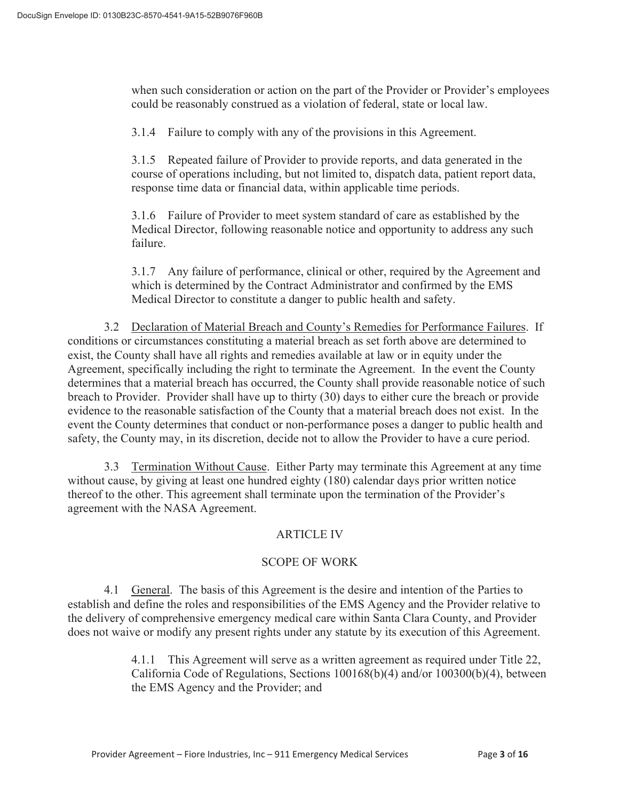when such consideration or action on the part of the Provider or Provider's employees could be reasonably construed as a violation of federal, state or local law.

3.1.4 Failure to comply with any of the provisions in this Agreement.

3.1.5 Repeated failure of Provider to provide reports, and data generated in the course of operations including, but not limited to, dispatch data, patient report data, response time data or financial data, within applicable time periods.

3.1.6 Failure of Provider to meet system standard of care as established by the Medical Director, following reasonable notice and opportunity to address any such failure.

3.1.7 Any failure of performance, clinical or other, required by the Agreement and which is determined by the Contract Administrator and confirmed by the EMS Medical Director to constitute a danger to public health and safety.

3.2 Declaration of Material Breach and County's Remedies for Performance Failures. If conditions or circumstances constituting a material breach as set forth above are determined to exist, the County shall have all rights and remedies available at law or in equity under the Agreement, specifically including the right to terminate the Agreement. In the event the County determines that a material breach has occurred, the County shall provide reasonable notice of such breach to Provider. Provider shall have up to thirty (30) days to either cure the breach or provide evidence to the reasonable satisfaction of the County that a material breach does not exist. In the event the County determines that conduct or non-performance poses a danger to public health and safety, the County may, in its discretion, decide not to allow the Provider to have a cure period.

3.3 Termination Without Cause. Either Party may terminate this Agreement at any time without cause, by giving at least one hundred eighty (180) calendar days prior written notice thereof to the other. This agreement shall terminate upon the termination of the Provider's agreement with the NASA Agreement.

## ARTICLE IV

### SCOPE OF WORK

 4.1 General. The basis of this Agreement is the desire and intention of the Parties to establish and define the roles and responsibilities of the EMS Agency and the Provider relative to the delivery of comprehensive emergency medical care within Santa Clara County, and Provider does not waive or modify any present rights under any statute by its execution of this Agreement.

> 4.1.1 This Agreement will serve as a written agreement as required under Title 22, California Code of Regulations, Sections 100168(b)(4) and/or 100300(b)(4), between the EMS Agency and the Provider; and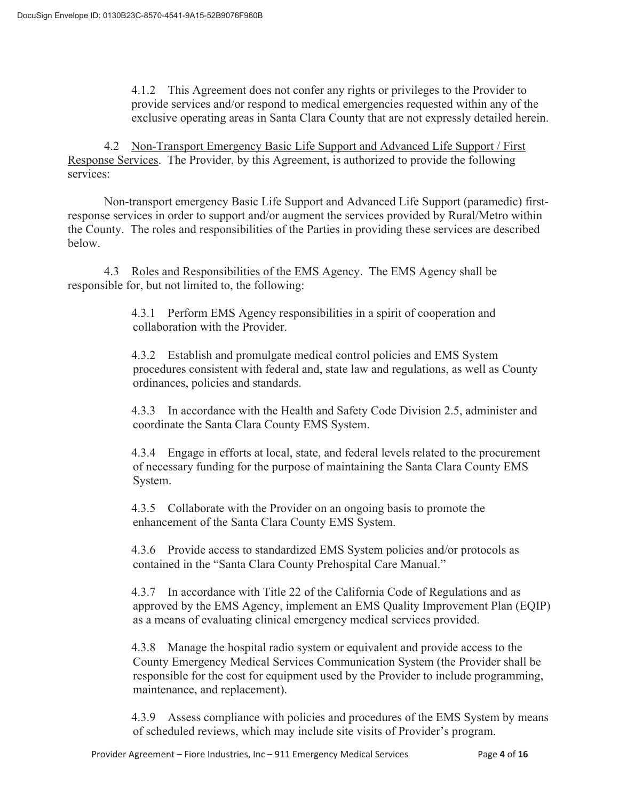4.1.2 This Agreement does not confer any rights or privileges to the Provider to provide services and/or respond to medical emergencies requested within any of the exclusive operating areas in Santa Clara County that are not expressly detailed herein.

4.2 Non-Transport Emergency Basic Life Support and Advanced Life Support / First Response Services. The Provider, by this Agreement, is authorized to provide the following services:

 Non-transport emergency Basic Life Support and Advanced Life Support (paramedic) firstresponse services in order to support and/or augment the services provided by Rural/Metro within the County. The roles and responsibilities of the Parties in providing these services are described below.

 4.3 Roles and Responsibilities of the EMS Agency. The EMS Agency shall be responsible for, but not limited to, the following:

> 4.3.1 Perform EMS Agency responsibilities in a spirit of cooperation and collaboration with the Provider.

 4.3.2 Establish and promulgate medical control policies and EMS System procedures consistent with federal and, state law and regulations, as well as County ordinances, policies and standards.

 4.3.3 In accordance with the Health and Safety Code Division 2.5, administer and coordinate the Santa Clara County EMS System.

 4.3.4 Engage in efforts at local, state, and federal levels related to the procurement of necessary funding for the purpose of maintaining the Santa Clara County EMS System.

 4.3.5 Collaborate with the Provider on an ongoing basis to promote the enhancement of the Santa Clara County EMS System.

 4.3.6 Provide access to standardized EMS System policies and/or protocols as contained in the "Santa Clara County Prehospital Care Manual."

 4.3.7 In accordance with Title 22 of the California Code of Regulations and as approved by the EMS Agency, implement an EMS Quality Improvement Plan (EQIP) as a means of evaluating clinical emergency medical services provided.

 4.3.8 Manage the hospital radio system or equivalent and provide access to the County Emergency Medical Services Communication System (the Provider shall be responsible for the cost for equipment used by the Provider to include programming, maintenance, and replacement).

 4.3.9 Assess compliance with policies and procedures of the EMS System by means of scheduled reviews, which may include site visits of Provider's program.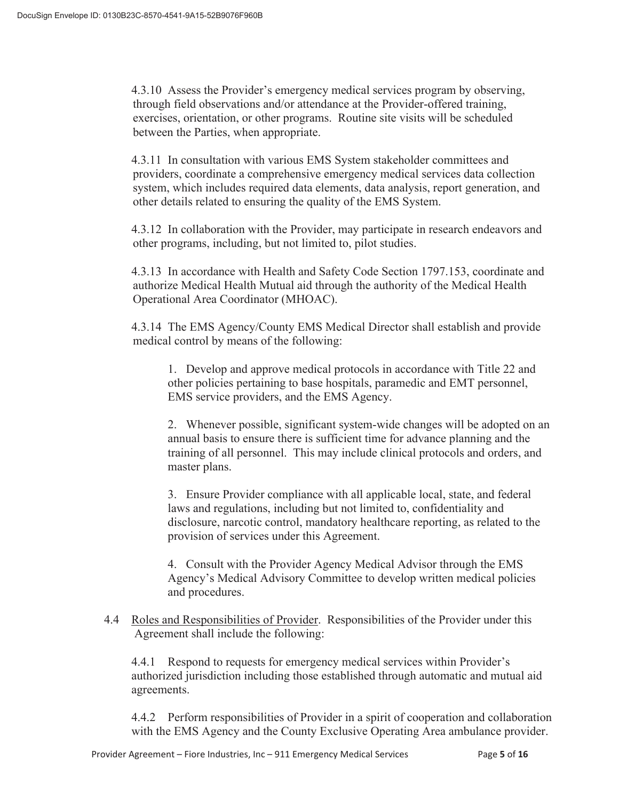4.3.10 Assess the Provider's emergency medical services program by observing, through field observations and/or attendance at the Provider-offered training, exercises, orientation, or other programs. Routine site visits will be scheduled between the Parties, when appropriate.

 4.3.11 In consultation with various EMS System stakeholder committees and providers, coordinate a comprehensive emergency medical services data collection system, which includes required data elements, data analysis, report generation, and other details related to ensuring the quality of the EMS System.

 4.3.12 In collaboration with the Provider, may participate in research endeavors and other programs, including, but not limited to, pilot studies.

 4.3.13 In accordance with Health and Safety Code Section 1797.153, coordinate and authorize Medical Health Mutual aid through the authority of the Medical Health Operational Area Coordinator (MHOAC).

 4.3.14 The EMS Agency/County EMS Medical Director shall establish and provide medical control by means of the following:

 1. Develop and approve medical protocols in accordance with Title 22 and other policies pertaining to base hospitals, paramedic and EMT personnel, EMS service providers, and the EMS Agency.

 2. Whenever possible, significant system-wide changes will be adopted on an annual basis to ensure there is sufficient time for advance planning and the training of all personnel. This may include clinical protocols and orders, and master plans.

 3. Ensure Provider compliance with all applicable local, state, and federal laws and regulations, including but not limited to, confidentiality and disclosure, narcotic control, mandatory healthcare reporting, as related to the provision of services under this Agreement.

 4. Consult with the Provider Agency Medical Advisor through the EMS Agency's Medical Advisory Committee to develop written medical policies and procedures.

 4.4 Roles and Responsibilities of Provider. Responsibilities of the Provider under this Agreement shall include the following:

 4.4.1 Respond to requests for emergency medical services within Provider's authorized jurisdiction including those established through automatic and mutual aid agreements.

 4.4.2 Perform responsibilities of Provider in a spirit of cooperation and collaboration with the EMS Agency and the County Exclusive Operating Area ambulance provider.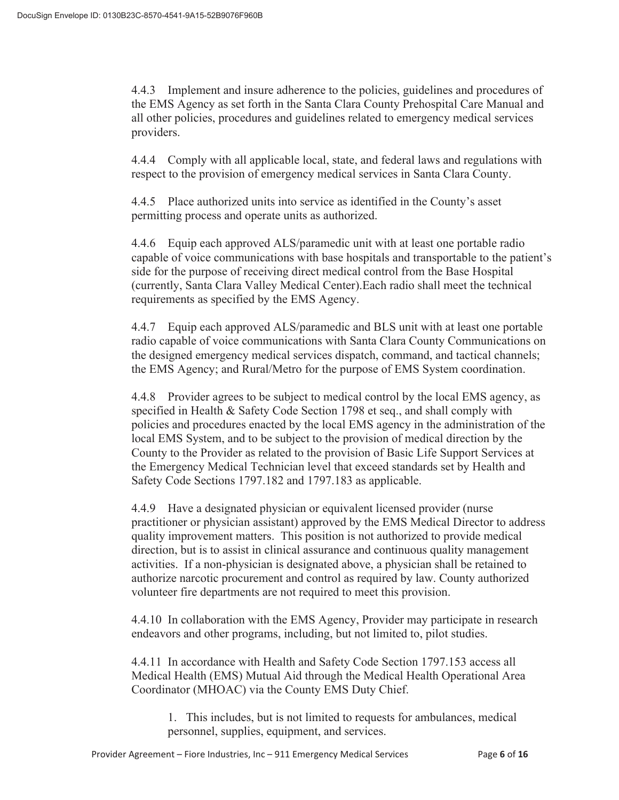4.4.3 Implement and insure adherence to the policies, guidelines and procedures of the EMS Agency as set forth in the Santa Clara County Prehospital Care Manual and all other policies, procedures and guidelines related to emergency medical services providers.

 4.4.4 Comply with all applicable local, state, and federal laws and regulations with respect to the provision of emergency medical services in Santa Clara County.

 4.4.5 Place authorized units into service as identified in the County's asset permitting process and operate units as authorized.

 4.4.6 Equip each approved ALS/paramedic unit with at least one portable radio capable of voice communications with base hospitals and transportable to the patient's side for the purpose of receiving direct medical control from the Base Hospital (currently, Santa Clara Valley Medical Center).Each radio shall meet the technical requirements as specified by the EMS Agency.

 4.4.7 Equip each approved ALS/paramedic and BLS unit with at least one portable radio capable of voice communications with Santa Clara County Communications on the designed emergency medical services dispatch, command, and tactical channels; the EMS Agency; and Rural/Metro for the purpose of EMS System coordination.

4.4.8 Provider agrees to be subject to medical control by the local EMS agency, as specified in Health & Safety Code Section 1798 et seq., and shall comply with policies and procedures enacted by the local EMS agency in the administration of the local EMS System, and to be subject to the provision of medical direction by the County to the Provider as related to the provision of Basic Life Support Services at the Emergency Medical Technician level that exceed standards set by Health and Safety Code Sections 1797.182 and 1797.183 as applicable.

4.4.9 Have a designated physician or equivalent licensed provider (nurse practitioner or physician assistant) approved by the EMS Medical Director to address quality improvement matters. This position is not authorized to provide medical direction, but is to assist in clinical assurance and continuous quality management activities. If a non-physician is designated above, a physician shall be retained to authorize narcotic procurement and control as required by law. County authorized volunteer fire departments are not required to meet this provision.

4.4.10 In collaboration with the EMS Agency, Provider may participate in research endeavors and other programs, including, but not limited to, pilot studies.

4.4.11 In accordance with Health and Safety Code Section 1797.153 access all Medical Health (EMS) Mutual Aid through the Medical Health Operational Area Coordinator (MHOAC) via the County EMS Duty Chief.

1. This includes, but is not limited to requests for ambulances, medical personnel, supplies, equipment, and services.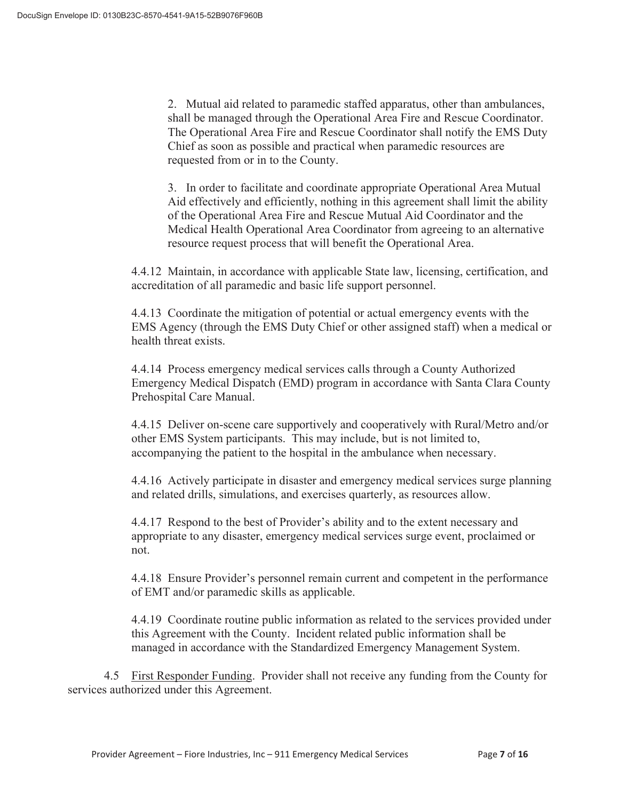2. Mutual aid related to paramedic staffed apparatus, other than ambulances, shall be managed through the Operational Area Fire and Rescue Coordinator. The Operational Area Fire and Rescue Coordinator shall notify the EMS Duty Chief as soon as possible and practical when paramedic resources are requested from or in to the County.

 3. In order to facilitate and coordinate appropriate Operational Area Mutual Aid effectively and efficiently, nothing in this agreement shall limit the ability of the Operational Area Fire and Rescue Mutual Aid Coordinator and the Medical Health Operational Area Coordinator from agreeing to an alternative resource request process that will benefit the Operational Area.

4.4.12 Maintain, in accordance with applicable State law, licensing, certification, and accreditation of all paramedic and basic life support personnel.

4.4.13 Coordinate the mitigation of potential or actual emergency events with the EMS Agency (through the EMS Duty Chief or other assigned staff) when a medical or health threat exists.

4.4.14 Process emergency medical services calls through a County Authorized Emergency Medical Dispatch (EMD) program in accordance with Santa Clara County Prehospital Care Manual.

4.4.15 Deliver on-scene care supportively and cooperatively with Rural/Metro and/or other EMS System participants. This may include, but is not limited to, accompanying the patient to the hospital in the ambulance when necessary.

4.4.16 Actively participate in disaster and emergency medical services surge planning and related drills, simulations, and exercises quarterly, as resources allow.

4.4.17 Respond to the best of Provider's ability and to the extent necessary and appropriate to any disaster, emergency medical services surge event, proclaimed or not.

4.4.18 Ensure Provider's personnel remain current and competent in the performance of EMT and/or paramedic skills as applicable.

4.4.19 Coordinate routine public information as related to the services provided under this Agreement with the County. Incident related public information shall be managed in accordance with the Standardized Emergency Management System.

4.5 First Responder Funding. Provider shall not receive any funding from the County for services authorized under this Agreement.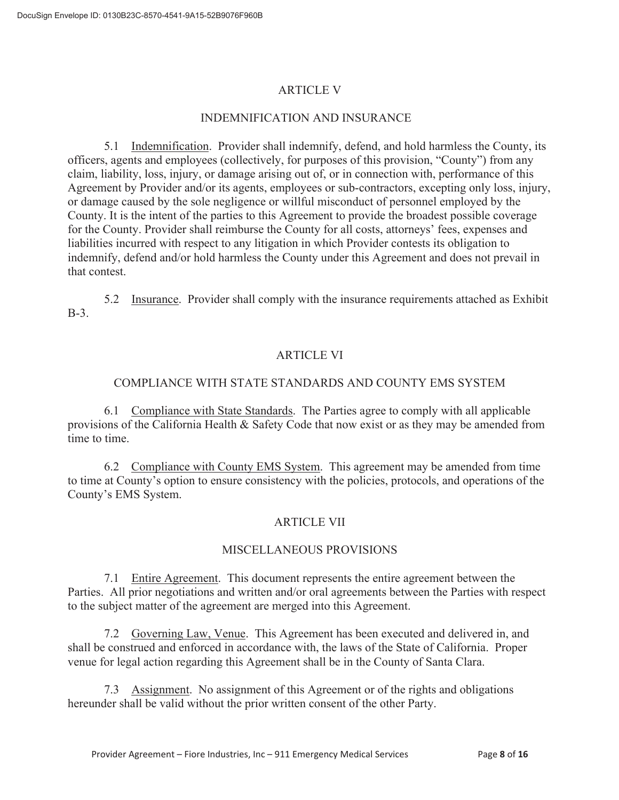## ARTICLE V

## INDEMNIFICATION AND INSURANCE

5.1 Indemnification. Provider shall indemnify, defend, and hold harmless the County, its officers, agents and employees (collectively, for purposes of this provision, "County") from any claim, liability, loss, injury, or damage arising out of, or in connection with, performance of this Agreement by Provider and/or its agents, employees or sub-contractors, excepting only loss, injury, or damage caused by the sole negligence or willful misconduct of personnel employed by the County. It is the intent of the parties to this Agreement to provide the broadest possible coverage for the County. Provider shall reimburse the County for all costs, attorneys' fees, expenses and liabilities incurred with respect to any litigation in which Provider contests its obligation to indemnify, defend and/or hold harmless the County under this Agreement and does not prevail in that contest.

5.2 Insurance. Provider shall comply with the insurance requirements attached as Exhibit B-3.

## ARTICLE VI

## COMPLIANCE WITH STATE STANDARDS AND COUNTY EMS SYSTEM

 6.1 Compliance with State Standards. The Parties agree to comply with all applicable provisions of the California Health & Safety Code that now exist or as they may be amended from time to time.

 6.2 Compliance with County EMS System. This agreement may be amended from time to time at County's option to ensure consistency with the policies, protocols, and operations of the County's EMS System.

## ARTICLE VII

## MISCELLANEOUS PROVISIONS

 7.1 Entire Agreement. This document represents the entire agreement between the Parties. All prior negotiations and written and/or oral agreements between the Parties with respect to the subject matter of the agreement are merged into this Agreement.

 7.2 Governing Law, Venue. This Agreement has been executed and delivered in, and shall be construed and enforced in accordance with, the laws of the State of California. Proper venue for legal action regarding this Agreement shall be in the County of Santa Clara.

 7.3 Assignment. No assignment of this Agreement or of the rights and obligations hereunder shall be valid without the prior written consent of the other Party.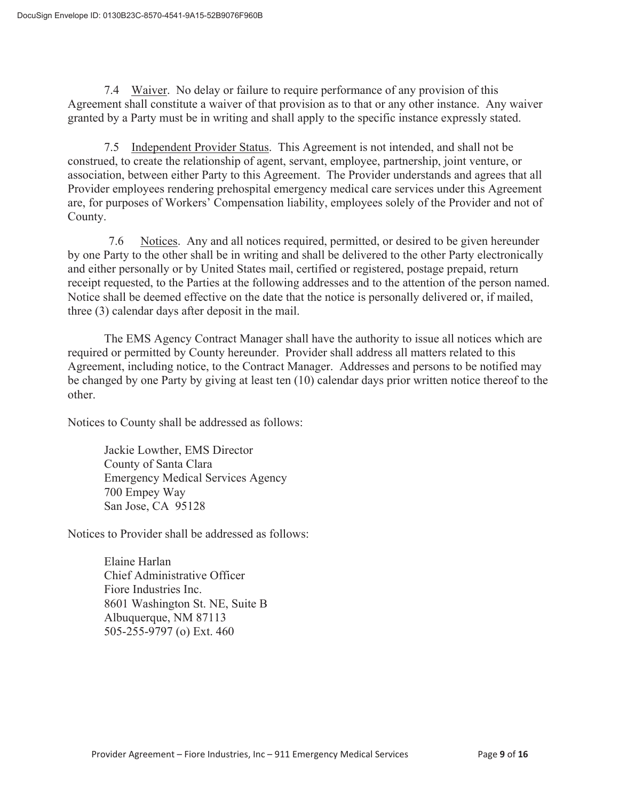7.4 Waiver. No delay or failure to require performance of any provision of this Agreement shall constitute a waiver of that provision as to that or any other instance. Any waiver granted by a Party must be in writing and shall apply to the specific instance expressly stated.

 7.5 Independent Provider Status. This Agreement is not intended, and shall not be construed, to create the relationship of agent, servant, employee, partnership, joint venture, or association, between either Party to this Agreement. The Provider understands and agrees that all Provider employees rendering prehospital emergency medical care services under this Agreement are, for purposes of Workers' Compensation liability, employees solely of the Provider and not of County.

 7.6 Notices. Any and all notices required, permitted, or desired to be given hereunder by one Party to the other shall be in writing and shall be delivered to the other Party electronically and either personally or by United States mail, certified or registered, postage prepaid, return receipt requested, to the Parties at the following addresses and to the attention of the person named. Notice shall be deemed effective on the date that the notice is personally delivered or, if mailed, three (3) calendar days after deposit in the mail.

 The EMS Agency Contract Manager shall have the authority to issue all notices which are required or permitted by County hereunder. Provider shall address all matters related to this Agreement, including notice, to the Contract Manager. Addresses and persons to be notified may be changed by one Party by giving at least ten (10) calendar days prior written notice thereof to the other.

Notices to County shall be addressed as follows:

 Jackie Lowther, EMS Director County of Santa Clara Emergency Medical Services Agency 700 Empey Way San Jose, CA 95128

Notices to Provider shall be addressed as follows:

 Elaine Harlan Chief Administrative Officer Fiore Industries Inc. 8601 Washington St. NE, Suite B Albuquerque, NM 87113 505-255-9797 (o) Ext. 460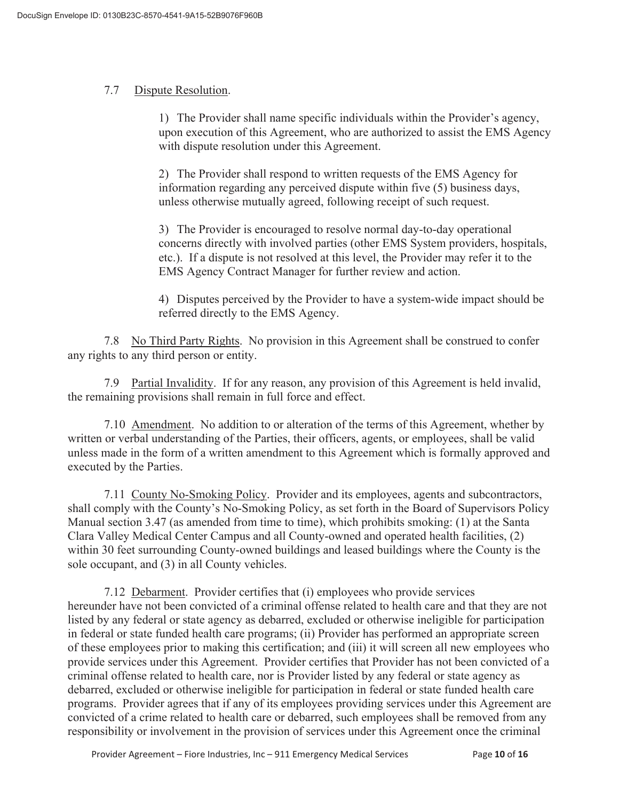## 7.7 Dispute Resolution.

 1) The Provider shall name specific individuals within the Provider's agency, upon execution of this Agreement, who are authorized to assist the EMS Agency with dispute resolution under this Agreement.

 2) The Provider shall respond to written requests of the EMS Agency for information regarding any perceived dispute within five (5) business days, unless otherwise mutually agreed, following receipt of such request.

 3) The Provider is encouraged to resolve normal day-to-day operational concerns directly with involved parties (other EMS System providers, hospitals, etc.). If a dispute is not resolved at this level, the Provider may refer it to the EMS Agency Contract Manager for further review and action.

 4) Disputes perceived by the Provider to have a system-wide impact should be referred directly to the EMS Agency.

 7.8 No Third Party Rights. No provision in this Agreement shall be construed to confer any rights to any third person or entity.

 7.9 Partial Invalidity. If for any reason, any provision of this Agreement is held invalid, the remaining provisions shall remain in full force and effect.

 7.10 Amendment. No addition to or alteration of the terms of this Agreement, whether by written or verbal understanding of the Parties, their officers, agents, or employees, shall be valid unless made in the form of a written amendment to this Agreement which is formally approved and executed by the Parties.

 7.11 County No-Smoking Policy. Provider and its employees, agents and subcontractors, shall comply with the County's No-Smoking Policy, as set forth in the Board of Supervisors Policy Manual section 3.47 (as amended from time to time), which prohibits smoking: (1) at the Santa Clara Valley Medical Center Campus and all County-owned and operated health facilities, (2) within 30 feet surrounding County-owned buildings and leased buildings where the County is the sole occupant, and (3) in all County vehicles.

 7.12 Debarment. Provider certifies that (i) employees who provide services hereunder have not been convicted of a criminal offense related to health care and that they are not listed by any federal or state agency as debarred, excluded or otherwise ineligible for participation in federal or state funded health care programs; (ii) Provider has performed an appropriate screen of these employees prior to making this certification; and (iii) it will screen all new employees who provide services under this Agreement. Provider certifies that Provider has not been convicted of a criminal offense related to health care, nor is Provider listed by any federal or state agency as debarred, excluded or otherwise ineligible for participation in federal or state funded health care programs. Provider agrees that if any of its employees providing services under this Agreement are convicted of a crime related to health care or debarred, such employees shall be removed from any responsibility or involvement in the provision of services under this Agreement once the criminal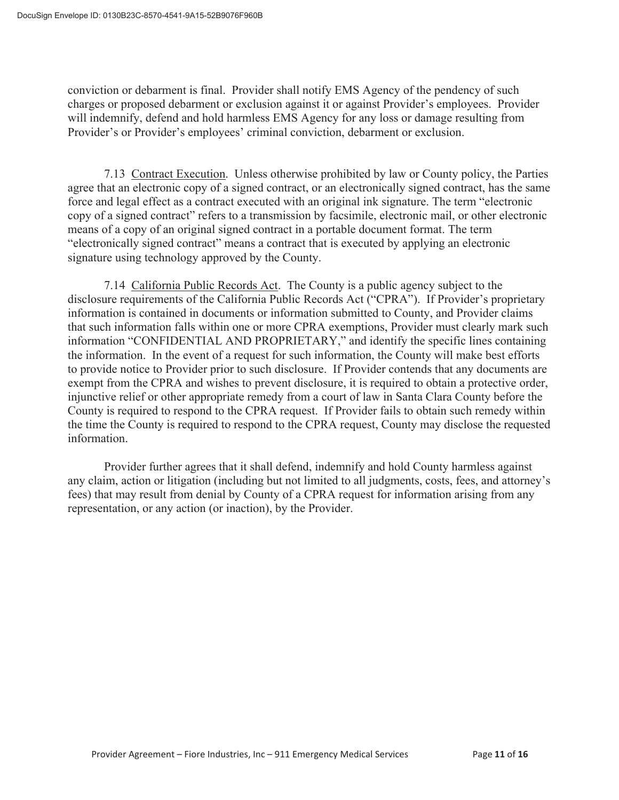conviction or debarment is final. Provider shall notify EMS Agency of the pendency of such charges or proposed debarment or exclusion against it or against Provider's employees. Provider will indemnify, defend and hold harmless EMS Agency for any loss or damage resulting from Provider's or Provider's employees' criminal conviction, debarment or exclusion.

 7.13 Contract Execution. Unless otherwise prohibited by law or County policy, the Parties agree that an electronic copy of a signed contract, or an electronically signed contract, has the same force and legal effect as a contract executed with an original ink signature. The term "electronic copy of a signed contract" refers to a transmission by facsimile, electronic mail, or other electronic means of a copy of an original signed contract in a portable document format. The term "electronically signed contract" means a contract that is executed by applying an electronic signature using technology approved by the County.

 7.14 California Public Records Act. The County is a public agency subject to the disclosure requirements of the California Public Records Act ("CPRA"). If Provider's proprietary information is contained in documents or information submitted to County, and Provider claims that such information falls within one or more CPRA exemptions, Provider must clearly mark such information "CONFIDENTIAL AND PROPRIETARY," and identify the specific lines containing the information. In the event of a request for such information, the County will make best efforts to provide notice to Provider prior to such disclosure. If Provider contends that any documents are exempt from the CPRA and wishes to prevent disclosure, it is required to obtain a protective order, injunctive relief or other appropriate remedy from a court of law in Santa Clara County before the County is required to respond to the CPRA request. If Provider fails to obtain such remedy within the time the County is required to respond to the CPRA request, County may disclose the requested information.

 Provider further agrees that it shall defend, indemnify and hold County harmless against any claim, action or litigation (including but not limited to all judgments, costs, fees, and attorney's fees) that may result from denial by County of a CPRA request for information arising from any representation, or any action (or inaction), by the Provider.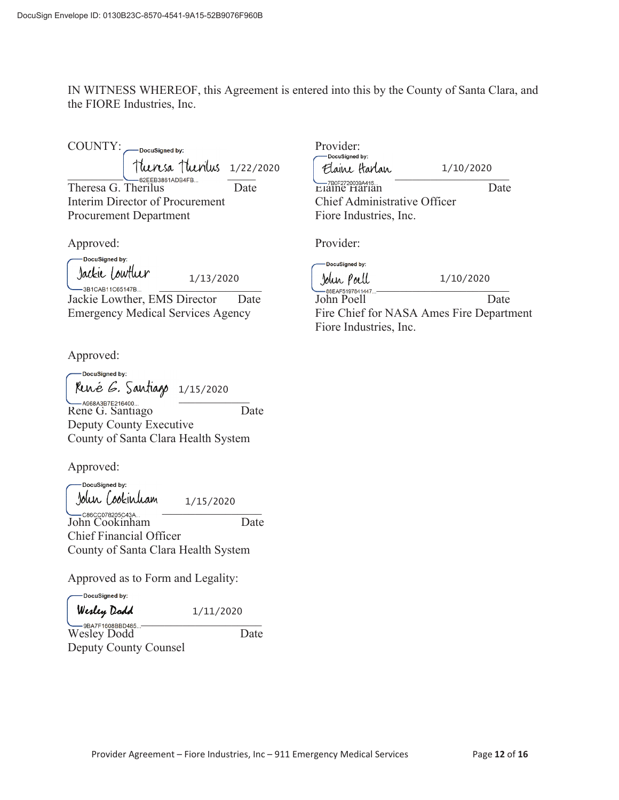IN WITNESS WHEREOF, this Agreement is entered into this by the County of Santa Clara, and the FIORE Industries, Inc.

COUNTY: -DocuSigned by:  $\frac{1}{222220}$ GEEB3861ADB4FB... — Date Interim Director of Procurement

Approved:

DocuSigned by: Jackie Lowther

Procurement Department

-3B1CAB11C65147B.. 1/13/2020

Jackie Lowther, EMS Director Date Emergency Medical Services Agency

Approved:

-DocuSigned by: 1/15/2020 \_\_\_\_\_\_\_\_\_\_\_\_\_\_\_\_\_\_\_\_\_\_\_\_\_\_\_\_\_\_ Rene G. Santiago Date Deputy County Executive County of Santa Clara Health System

Approved:

DocuSigned by: 1/15/2020  $\frac{1}{1}$   $\frac{1}{2}$   $\frac{1}{2}$   $\frac{1}{2}$   $\frac{1}{2}$   $\frac{1}{2}$   $\frac{1}{2}$   $\frac{1}{2}$   $\frac{1}{2}$   $\frac{1}{2}$   $\frac{1}{2}$   $\frac{1}{2}$   $\frac{1}{2}$   $\frac{1}{2}$   $\frac{1}{2}$   $\frac{1}{2}$   $\frac{1}{2}$   $\frac{1}{2}$   $\frac{1}{2}$   $\frac{1}{2}$   $\frac{1}{2}$   $\frac{1}{2}$  John Cookinham Date

Chief Financial Officer County of Santa Clara Health System

Approved as to Form and Legality:

-DocuSigned by:

 $\sum_{\text{OR}}$   $\sum_{\text{OR}}$   $\sum_{\text{OR}}$   $\sum_{\text{OR}}$   $\sum_{\text{OR}}$   $\sum_{\text{OR}}$   $\sum_{\text{OR}}$   $\sum_{\text{OR}}$   $\sum_{\text{OR}}$   $\sum_{\text{OR}}$   $\sum_{\text{OR}}$   $\sum_{\text{OR}}$   $\sum_{\text{OR}}$   $\sum_{\text{OR}}$   $\sum_{\text{OR}}$   $\sum_{\text{OR}}$   $\sum_{\text{OR}}$   $\sum_{\text{OR}}$   $\sum_{\text{OR}}$   $\sum_{\text{OR}}$ 

Wesley Dodd Date Deputy County Counsel

Provider:<br>
Pocusianed by: Elaine Harlan 1/10/2020 Elaine Harlan Date Chief Administrative Officer Fiore Industries, Inc. Provider: DocuSigned by: Jolun Poell<br>—88EAF5197841447 1/10/2020

John Poell Date Fire Chief for NASA Ames Fire Department Fiore Industries, Inc.

1/11/2020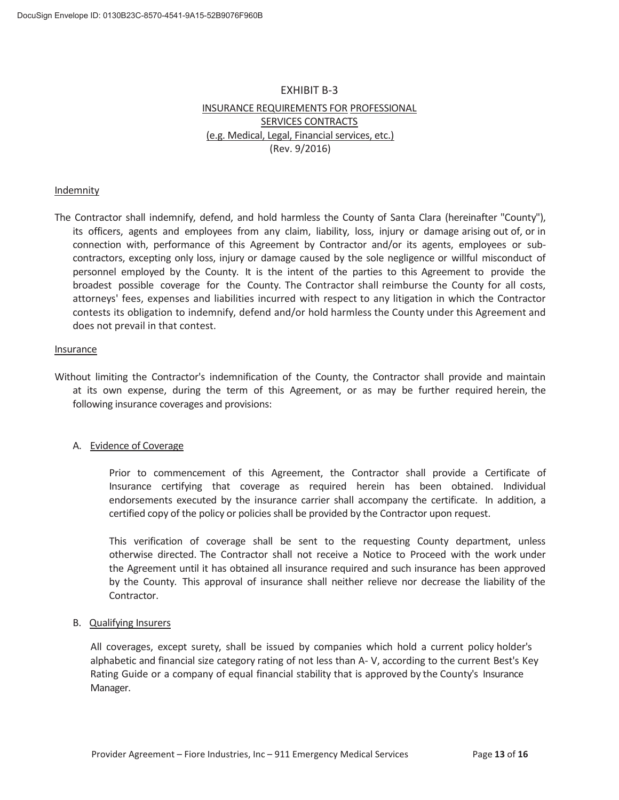## EXHIBIT B-3 INSURANCE REQUIREMENTS FOR PROFESSIONAL SERVICES CONTRACTS (e.g. Medical, Legal, Financial services, etc.) (Rev. 9/2016)

#### Indemnity

The Contractor shall indemnify, defend, and hold harmless the County of Santa Clara (hereinafter "County"), its officers, agents and employees from any claim, liability, loss, injury or damage arising out of, or in connection with, performance of this Agreement by Contractor and/or its agents, employees or subcontractors, excepting only loss, injury or damage caused by the sole negligence or willful misconduct of personnel employed by the County. It is the intent of the parties to this Agreement to provide the broadest possible coverage for the County. The Contractor shall reimburse the County for all costs, attorneys' fees, expenses and liabilities incurred with respect to any litigation in which the Contractor contests its obligation to indemnify, defend and/or hold harmless the County under this Agreement and does not prevail in that contest.

#### Insurance

Without limiting the Contractor's indemnification of the County, the Contractor shall provide and maintain at its own expense, during the term of this Agreement, or as may be further required herein, the following insurance coverages and provisions:

#### A. Evidence of Coverage

Prior to commencement of this Agreement, the Contractor shall provide a Certificate of Insurance certifying that coverage as required herein has been obtained. Individual endorsements executed by the insurance carrier shall accompany the certificate. In addition, a certified copy of the policy or policies shall be provided by the Contractor upon request.

This verification of coverage shall be sent to the requesting County department, unless otherwise directed. The Contractor shall not receive a Notice to Proceed with the work under the Agreement until it has obtained all insurance required and such insurance has been approved by the County. This approval of insurance shall neither relieve nor decrease the liability of the Contractor.

#### B. Qualifying Insurers

All coverages, except surety, shall be issued by companies which hold a current policy holder's alphabetic and financial size category rating of not less than A- V, according to the current Best's Key Rating Guide or a company of equal financial stability that is approved by the County's Insurance Manager.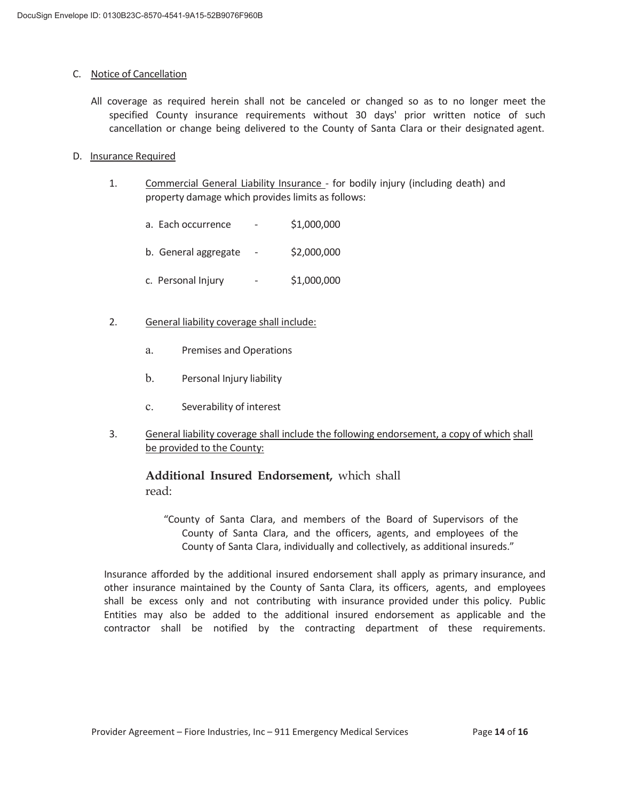### C. Notice of Cancellation

All coverage as required herein shall not be canceled or changed so as to no longer meet the specified County insurance requirements without 30 days' prior written notice of such cancellation or change being delivered to the County of Santa Clara or their designated agent.

### D. Insurance Required

- 1. Commercial General Liability Insurance for bodily injury (including death) and property damage which provides limits as follows:
	- a. Each occurrence \$1,000,000
	- b. General aggregate  $\sim$  \$2,000,000
	- c. Personal Injury \$1,000,000
- 2. General liability coverage shall include:
	- a. Premises and Operations
	- b. Personal Injury liability
	- c. Severability of interest
- 3. General liability coverage shall include the following endorsement, a copy of which shall be provided to the County:

**Additional Insured Endorsement,** which shall read:

"County of Santa Clara, and members of the Board of Supervisors of the County of Santa Clara, and the officers, agents, and employees of the County of Santa Clara, individually and collectively, as additional insureds."

Insurance afforded by the additional insured endorsement shall apply as primary insurance, and other insurance maintained by the County of Santa Clara, its officers, agents, and employees shall be excess only and not contributing with insurance provided under this policy. Public Entities may also be added to the additional insured endorsement as applicable and the contractor shall be notified by the contracting department of these requirements.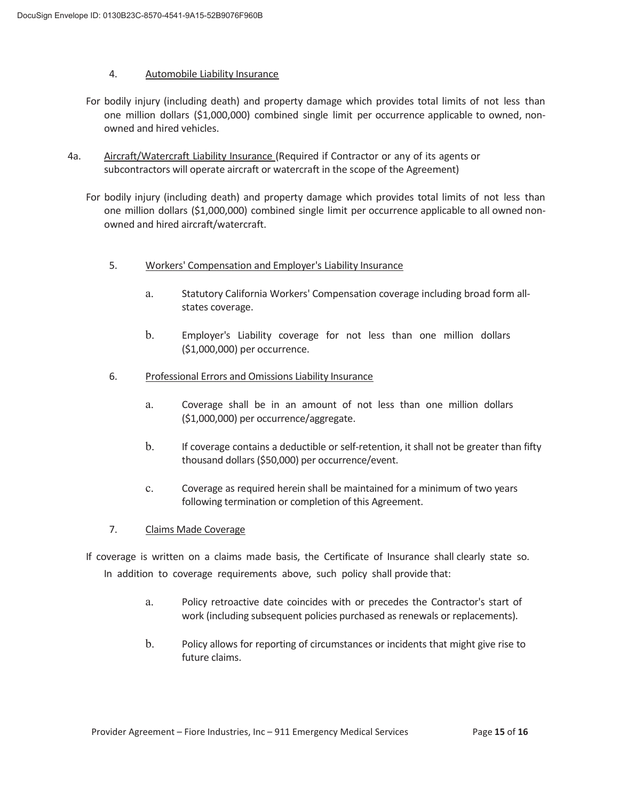### 4. Automobile Liability Insurance

- For bodily injury (including death) and property damage which provides total limits of not less than one million dollars (\$1,000,000) combined single limit per occurrence applicable to owned, nonowned and hired vehicles.
- 4a. Aircraft/Watercraft Liability Insurance (Required if Contractor or any of its agents or subcontractors will operate aircraft or watercraft in the scope of the Agreement)
	- For bodily injury (including death) and property damage which provides total limits of not less than one million dollars (\$1,000,000) combined single limit per occurrence applicable to all owned nonowned and hired aircraft/watercraft.
		- 5. Workers' Compensation and Employer's Liability Insurance
			- a. Statutory California Workers' Compensation coverage including broad form allstates coverage.
			- b. Employer's Liability coverage for not less than one million dollars (\$1,000,000) per occurrence.
		- 6. Professional Errors and Omissions Liability Insurance
			- a. Coverage shall be in an amount of not less than one million dollars (\$1,000,000) per occurrence/aggregate.
			- b. If coverage contains a deductible or self-retention, it shall not be greater than fifty thousand dollars (\$50,000) per occurrence/event.
			- c. Coverage as required herein shall be maintained for a minimum of two years following termination or completion of this Agreement.
		- 7. Claims Made Coverage
	- If coverage is written on a claims made basis, the Certificate of Insurance shall clearly state so. In addition to coverage requirements above, such policy shall provide that:
		- a. Policy retroactive date coincides with or precedes the Contractor's start of work (including subsequent policies purchased as renewals or replacements).
		- b. Policy allows for reporting of circumstances or incidents that might give rise to future claims.